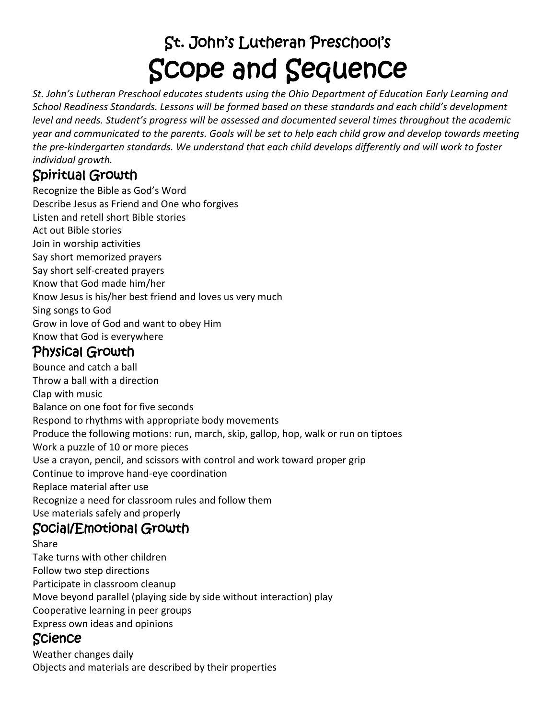# St. John's Lutheran Preschool's Scope and Sequence

*St. John's Lutheran Preschool educates students using the Ohio Department of Education Early Learning and School Readiness Standards. Lessons will be formed based on these standards and each child's development level and needs. Student's progress will be assessed and documented several times throughout the academic year and communicated to the parents. Goals will be set to help each child grow and develop towards meeting the pre-kindergarten standards. We understand that each child develops differently and will work to foster individual growth.*

#### Spiritual Growth

Recognize the Bible as God's Word Describe Jesus as Friend and One who forgives Listen and retell short Bible stories Act out Bible stories Join in worship activities Say short memorized prayers Say short self-created prayers Know that God made him/her Know Jesus is his/her best friend and loves us very much Sing songs to God Grow in love of God and want to obey Him Know that God is everywhere

### Physical Growth

Bounce and catch a ball Throw a ball with a direction Clap with music Balance on one foot for five seconds Respond to rhythms with appropriate body movements Produce the following motions: run, march, skip, gallop, hop, walk or run on tiptoes Work a puzzle of 10 or more pieces Use a crayon, pencil, and scissors with control and work toward proper grip Continue to improve hand-eye coordination Replace material after use Recognize a need for classroom rules and follow them Use materials safely and properly Social/Emotional Growth

Share

Take turns with other children Follow two step directions Participate in classroom cleanup Move beyond parallel (playing side by side without interaction) play Cooperative learning in peer groups Express own ideas and opinions

#### Science

Weather changes daily Objects and materials are described by their properties